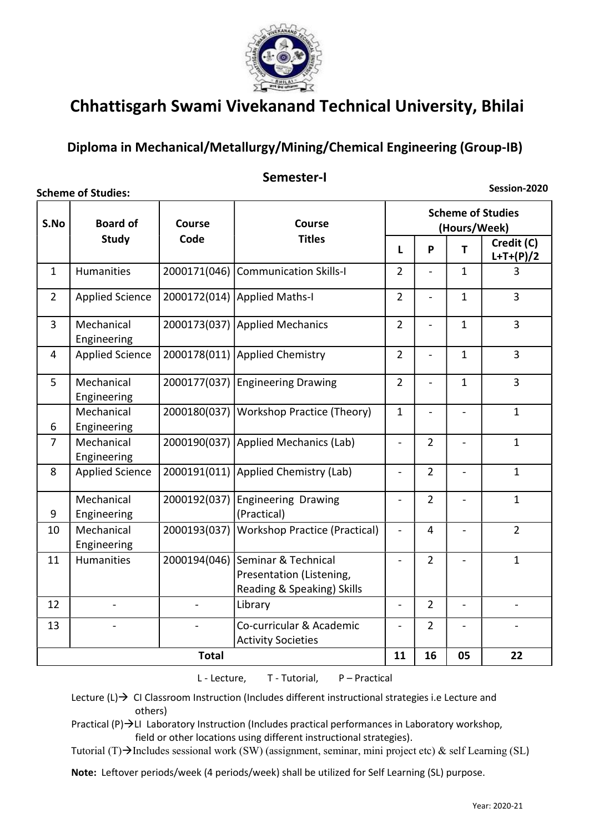

### Diploma in Mechanical/Metallurgy/Mining/Chemical Engineering (Group-IB)

#### Semester-I

Scheme of Studies:

Session-2020

| S.No           | <b>Board of</b>           |                          | <b>Scheme of Studies</b><br>(Hours/Week)                                      |                          |                |                          |                           |  |
|----------------|---------------------------|--------------------------|-------------------------------------------------------------------------------|--------------------------|----------------|--------------------------|---------------------------|--|
|                | <b>Study</b>              | Code                     | <b>Titles</b>                                                                 | L                        | P              | T                        | Credit (C)<br>$L+T+(P)/2$ |  |
| $\mathbf{1}$   | Humanities                | 2000171(046)             | <b>Communication Skills-I</b>                                                 | $\overline{2}$           | $\overline{a}$ | $\mathbf{1}$             | 3                         |  |
| $\overline{2}$ | <b>Applied Science</b>    | 2000172(014)             | Applied Maths-I                                                               | $\overline{2}$           | $\overline{a}$ | $\mathbf{1}$             | $\overline{3}$            |  |
| $\overline{3}$ | Mechanical<br>Engineering | 2000173(037)             | <b>Applied Mechanics</b>                                                      | $\overline{2}$           | $\overline{a}$ | $\mathbf{1}$             | $\overline{3}$            |  |
| $\overline{4}$ | <b>Applied Science</b>    | 2000178(011)             | Applied Chemistry                                                             | $\overline{2}$           | $\blacksquare$ | $\mathbf{1}$             | $\overline{3}$            |  |
| 5 <sup>1</sup> | Mechanical<br>Engineering | 2000177(037)             | <b>Engineering Drawing</b>                                                    | $\overline{2}$           | $\blacksquare$ | $\mathbf{1}$             | $\overline{3}$            |  |
| 6              | Mechanical<br>Engineering | 2000180(037)             | <b>Workshop Practice (Theory)</b>                                             | $\mathbf{1}$             | $\overline{a}$ |                          | $\mathbf{1}$              |  |
| $\overline{7}$ | Mechanical<br>Engineering |                          | 2000190(037) Applied Mechanics (Lab)                                          | $\blacksquare$           | $\overline{2}$ | $\blacksquare$           | $\mathbf{1}$              |  |
| 8              | <b>Applied Science</b>    | 2000191(011)             | Applied Chemistry (Lab)                                                       | $\blacksquare$           | $\overline{2}$ | $\blacksquare$           | $\mathbf{1}$              |  |
| 9              | Mechanical<br>Engineering | 2000192(037)             | <b>Engineering Drawing</b><br>(Practical)                                     | $\overline{\phantom{a}}$ | $\overline{2}$ |                          | $\mathbf{1}$              |  |
| 10             | Mechanical<br>Engineering | 2000193(037)             | <b>Workshop Practice (Practical)</b>                                          | $\blacksquare$           | $\overline{4}$ | $\frac{1}{2}$            | $\overline{2}$            |  |
| 11             | Humanities                | 2000194(046)             | Seminar & Technical<br>Presentation (Listening,<br>Reading & Speaking) Skills | $\overline{a}$           | $\overline{2}$ | $\overline{\phantom{a}}$ | $\mathbf{1}$              |  |
| 12             |                           | $\blacksquare$           | Library                                                                       | $\blacksquare$           | $\overline{2}$ | $\blacksquare$           | $\blacksquare$            |  |
| 13             |                           | $\overline{\phantom{0}}$ | Co-curricular & Academic<br><b>Activity Societies</b>                         | $\overline{a}$           | $\overline{2}$ | $\overline{\phantom{a}}$ | $\blacksquare$            |  |
|                |                           | <b>Total</b>             |                                                                               | 11                       | 16             | 05                       | 22                        |  |

L - Lecture, T - Tutorial, P – Practical

Lecture  $(L) \rightarrow C1$  Classroom Instruction (Includes different instructional strategies i.e Lecture and others)

Practical (P) $\rightarrow$ LI Laboratory Instruction (Includes practical performances in Laboratory workshop, field or other locations using different instructional strategies).

Tutorial (T) $\rightarrow$ Includes sessional work (SW) (assignment, seminar, mini project etc) & self Learning (SL)

Note: Leftover periods/week (4 periods/week) shall be utilized for Self Learning (SL) purpose.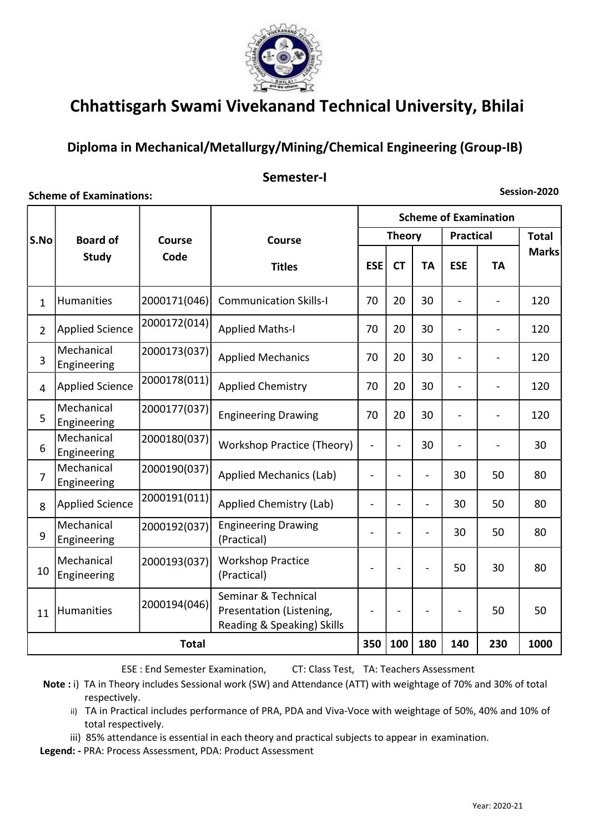

### Diploma in Mechanical/Metallurgy/Mining/Chemical Engineering (Group-IB)

### Semester-I

#### Scheme of Examinations:

Session-2020

|                         |                           |               |                                                                               | <b>Scheme of Examination</b> |                          |                          |                  |           |              |
|-------------------------|---------------------------|---------------|-------------------------------------------------------------------------------|------------------------------|--------------------------|--------------------------|------------------|-----------|--------------|
| <b>Board of</b><br>S.No |                           | <b>Course</b> | <b>Course</b>                                                                 | <b>Theory</b>                |                          |                          | <b>Practical</b> |           | <b>Total</b> |
|                         | <b>Study</b>              | Code          | <b>Titles</b>                                                                 | <b>ESE</b>                   | <b>CT</b>                | <b>TA</b>                | <b>ESE</b>       | <b>TA</b> | <b>Marks</b> |
| $\mathbf{1}$            | Humanities                | 2000171(046)  | <b>Communication Skills-I</b>                                                 | 70                           | 20                       | 30                       | $\overline{a}$   |           | 120          |
| $\overline{2}$          | <b>Applied Science</b>    | 2000172(014)  | <b>Applied Maths-I</b>                                                        | 70                           | 20                       | 30                       | $\frac{1}{2}$    |           | 120          |
| 3                       | Mechanical<br>Engineering | 2000173(037)  | <b>Applied Mechanics</b>                                                      | 70                           | 20                       | 30                       | $\overline{a}$   |           | 120          |
| $\overline{4}$          | <b>Applied Science</b>    | 2000178(011)  | <b>Applied Chemistry</b>                                                      | 70                           | 20                       | 30                       | $\overline{a}$   |           | 120          |
| 5                       | Mechanical<br>Engineering | 2000177(037)  | <b>Engineering Drawing</b>                                                    | 70                           | 20                       | 30                       |                  |           | 120          |
| 6                       | Mechanical<br>Engineering | 2000180(037)  | Workshop Practice (Theory)                                                    | $\overline{\phantom{0}}$     |                          | 30                       |                  |           | 30           |
| $\overline{7}$          | Mechanical<br>Engineering | 2000190(037)  | <b>Applied Mechanics (Lab)</b>                                                | $\overline{\phantom{a}}$     |                          | $\overline{\phantom{0}}$ | 30               | 50        | 80           |
| 8                       | <b>Applied Science</b>    | 2000191(011)  | Applied Chemistry (Lab)                                                       | $\qquad \qquad -$            | ۰                        | $\blacksquare$           | 30               | 50        | 80           |
| 9                       | Mechanical<br>Engineering | 2000192(037)  | <b>Engineering Drawing</b><br>(Practical)                                     | $\overline{\phantom{a}}$     |                          | ۰                        | 30               | 50        | 80           |
| 10                      | Mechanical<br>Engineering | 2000193(037)  | <b>Workshop Practice</b><br>(Practical)                                       | $\overline{a}$               |                          |                          | 50               | 30        | 80           |
| 11                      | Humanities                | 2000194(046)  | Seminar & Technical<br>Presentation (Listening,<br>Reading & Speaking) Skills | $\overline{\phantom{0}}$     | $\overline{\phantom{a}}$ |                          |                  | 50        | 50           |
|                         | <b>Total</b>              |               |                                                                               |                              | 100                      | 180                      | 140              | 230       | 1000         |

ESE : End Semester Examination, CT: Class Test, TA: Teachers Assessment

Note : i) TA in Theory includes Sessional work (SW) and Attendance (ATT) with weightage of 70% and 30% of total respectively.

ii) TA in Practical includes performance of PRA, PDA and Viva-Voce with weightage of 50%, 40% and 10% of total respectively.

iii) 85% attendance is essential in each theory and practical subjects to appear in examination.

Legend: - PRA: Process Assessment, PDA: Product Assessment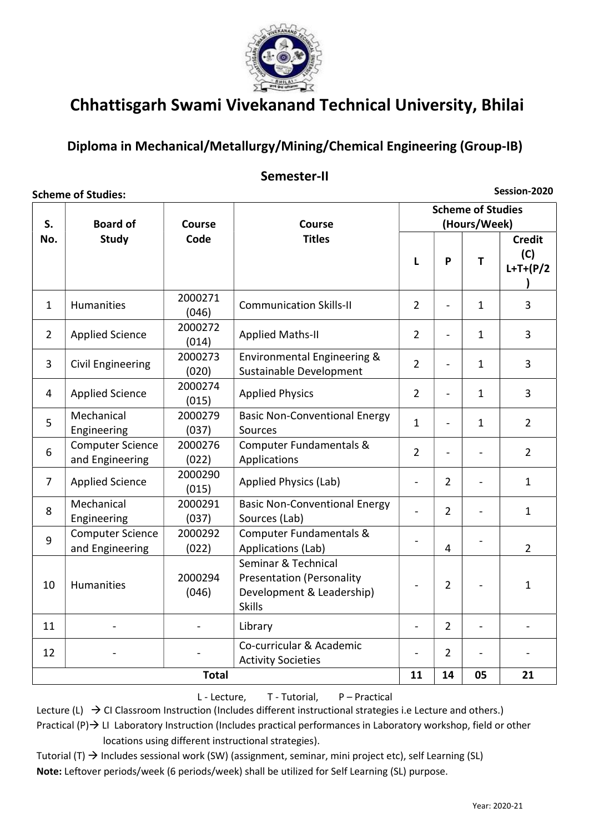

### Diploma in Mechanical/Metallurgy/Mining/Chemical Engineering (Group-IB)

#### Semester-II

Session-2020

| <b>Scheme of Studies:</b> |                                            |                  |                                                                                                       |                                          |                |                          | Session-2020                        |  |
|---------------------------|--------------------------------------------|------------------|-------------------------------------------------------------------------------------------------------|------------------------------------------|----------------|--------------------------|-------------------------------------|--|
| S.                        | <b>Board of</b>                            | Course<br>Code   | Course<br><b>Titles</b>                                                                               | <b>Scheme of Studies</b><br>(Hours/Week) |                |                          |                                     |  |
| No.                       | <b>Study</b>                               |                  |                                                                                                       | L                                        | P              | T                        | <b>Credit</b><br>(C)<br>$L+T+(P/2)$ |  |
| $\mathbf{1}$              | Humanities                                 | 2000271<br>(046) | <b>Communication Skills-II</b>                                                                        | $\overline{2}$                           |                | $\mathbf{1}$             | 3                                   |  |
| $\overline{2}$            | <b>Applied Science</b>                     | 2000272<br>(014) | <b>Applied Maths-II</b>                                                                               | $\overline{2}$                           | $\blacksquare$ | $\mathbf{1}$             | $\overline{3}$                      |  |
| 3                         | <b>Civil Engineering</b>                   | 2000273<br>(020) | Environmental Engineering &<br>Sustainable Development                                                | $\overline{2}$                           | $\overline{a}$ | $\mathbf{1}$             | $\overline{3}$                      |  |
| 4                         | <b>Applied Science</b>                     | 2000274<br>(015) | <b>Applied Physics</b>                                                                                | $\overline{2}$                           | $\overline{a}$ | 1                        | 3                                   |  |
| 5                         | Mechanical<br>Engineering                  | 2000279<br>(037) | <b>Basic Non-Conventional Energy</b><br>Sources                                                       | $\mathbf{1}$                             |                | 1                        | $\overline{2}$                      |  |
| 6                         | <b>Computer Science</b><br>and Engineering | 2000276<br>(022) | Computer Fundamentals &<br>Applications                                                               | $\overline{2}$                           |                |                          | $\overline{2}$                      |  |
| $\overline{7}$            | <b>Applied Science</b>                     | 2000290<br>(015) | <b>Applied Physics (Lab)</b>                                                                          | $\blacksquare$                           | $\overline{2}$ | $\overline{\phantom{a}}$ | $\mathbf{1}$                        |  |
| 8                         | Mechanical<br>Engineering                  | 2000291<br>(037) | <b>Basic Non-Conventional Energy</b><br>Sources (Lab)                                                 |                                          | $\overline{2}$ | $\overline{a}$           | $\mathbf{1}$                        |  |
| 9                         | Computer Science<br>and Engineering        | 2000292<br>(022) | Computer Fundamentals &<br>Applications (Lab)                                                         |                                          | 4              | $\overline{\phantom{a}}$ | $\overline{2}$                      |  |
| 10                        | <b>Humanities</b>                          | 2000294<br>(046) | Seminar & Technical<br><b>Presentation (Personality</b><br>Development & Leadership)<br><b>Skills</b> | $\overline{\phantom{a}}$                 | $\overline{2}$ | $\overline{a}$           | $\mathbf{1}$                        |  |
| 11                        |                                            | $\blacksquare$   | Library                                                                                               | $\overline{\phantom{0}}$                 | $\overline{2}$ | $\overline{\phantom{a}}$ |                                     |  |
| 12                        |                                            |                  | Co-curricular & Academic<br><b>Activity Societies</b>                                                 |                                          | $\overline{2}$ | $\overline{\phantom{a}}$ |                                     |  |
|                           |                                            | <b>Total</b>     |                                                                                                       | 11                                       | 14             | 05                       | 21                                  |  |

L - Lecture, T - Tutorial, P – Practical

Lecture (L)  $\rightarrow$  CI Classroom Instruction (Includes different instructional strategies i.e Lecture and others.)

Practical  $(P) \rightarrow$  LI Laboratory Instruction (Includes practical performances in Laboratory workshop, field or other locations using different instructional strategies).

Tutorial (T)  $\rightarrow$  Includes sessional work (SW) (assignment, seminar, mini project etc), self Learning (SL)

Note: Leftover periods/week (6 periods/week) shall be utilized for Self Learning (SL) purpose.